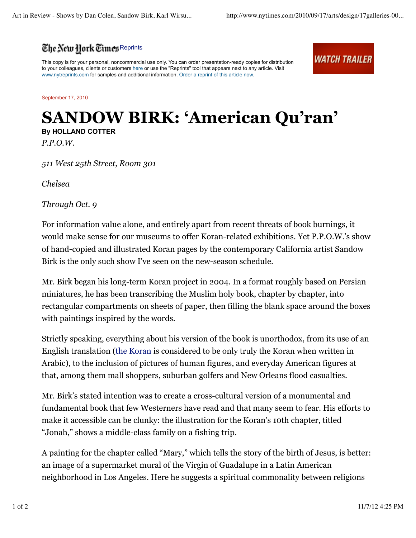

This copy is for your personal, noncommercial use only. You can order presentation-ready copies for distribution to your colleagues, clients or customers here or use the "Reprints" tool that appears next to any article. Visit www.nytreprints.com for samples and additional information. Order a reprint of this article now.

*WATCH TRAILER* 

September 17, 2010

## **SANDOW BIRK: 'American Qu'ran' By HOLLAND COTTER**

*P.P.O.W.*

*511 West 25th Street, Room 301*

*Chelsea*

*Through Oct. 9*

For information value alone, and entirely apart from recent threats of book burnings, it would make sense for our museums to offer Koran-related exhibitions. Yet P.P.O.W.'s show of hand-copied and illustrated Koran pages by the contemporary California artist Sandow Birk is the only such show I've seen on the new-season schedule.

Mr. Birk began his long-term Koran project in 2004. In a format roughly based on Persian miniatures, he has been transcribing the Muslim holy book, chapter by chapter, into rectangular compartments on sheets of paper, then filling the blank space around the boxes with paintings inspired by the words.

Strictly speaking, everything about his version of the book is unorthodox, from its use of an English translation (the Koran is considered to be only truly the Koran when written in Arabic), to the inclusion of pictures of human figures, and everyday American figures at that, among them mall shoppers, suburban golfers and New Orleans flood casualties.

Mr. Birk's stated intention was to create a cross-cultural version of a monumental and fundamental book that few Westerners have read and that many seem to fear. His efforts to make it accessible can be clunky: the illustration for the Koran's 10th chapter, titled "Jonah," shows a middle-class family on a fishing trip.

A painting for the chapter called "Mary," which tells the story of the birth of Jesus, is better: an image of a supermarket mural of the Virgin of Guadalupe in a Latin American neighborhood in Los Angeles. Here he suggests a spiritual commonality between religions